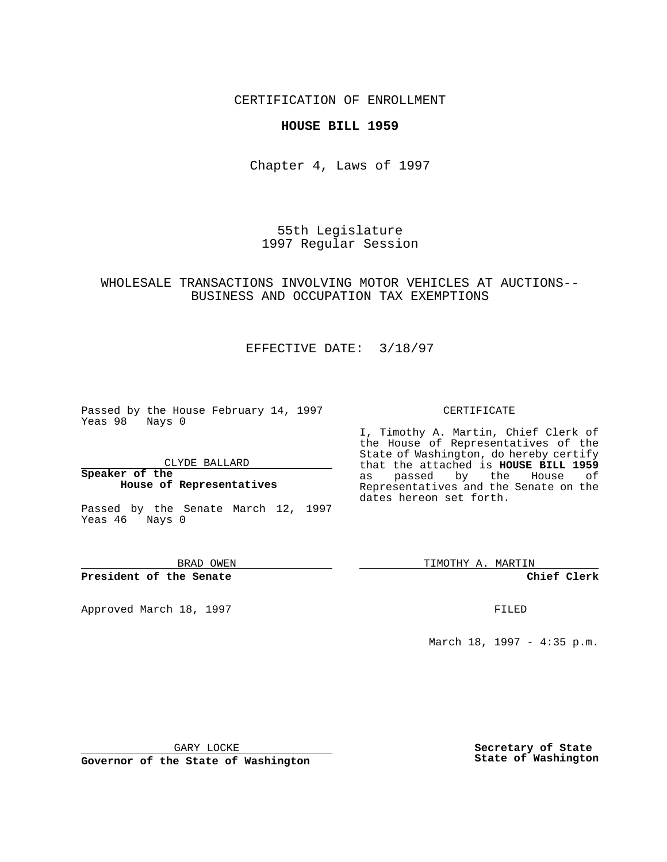CERTIFICATION OF ENROLLMENT

### **HOUSE BILL 1959**

Chapter 4, Laws of 1997

55th Legislature 1997 Regular Session

### WHOLESALE TRANSACTIONS INVOLVING MOTOR VEHICLES AT AUCTIONS-- BUSINESS AND OCCUPATION TAX EXEMPTIONS

# EFFECTIVE DATE: 3/18/97

Passed by the House February 14, 1997 Yeas 98 Nays 0

CLYDE BALLARD

#### **Speaker of the House of Representatives**

Passed by the Senate March 12, 1997 Yeas 46 Nays 0

BRAD OWEN

**President of the Senate**

Approved March 18, 1997 **FILED** 

CERTIFICATE

I, Timothy A. Martin, Chief Clerk of the House of Representatives of the State of Washington, do hereby certify that the attached is **HOUSE BILL 1959** as passed by the House of Representatives and the Senate on the dates hereon set forth.

TIMOTHY A. MARTIN

**Chief Clerk**

March 18, 1997 - 4:35 p.m.

GARY LOCKE

**Governor of the State of Washington**

**Secretary of State State of Washington**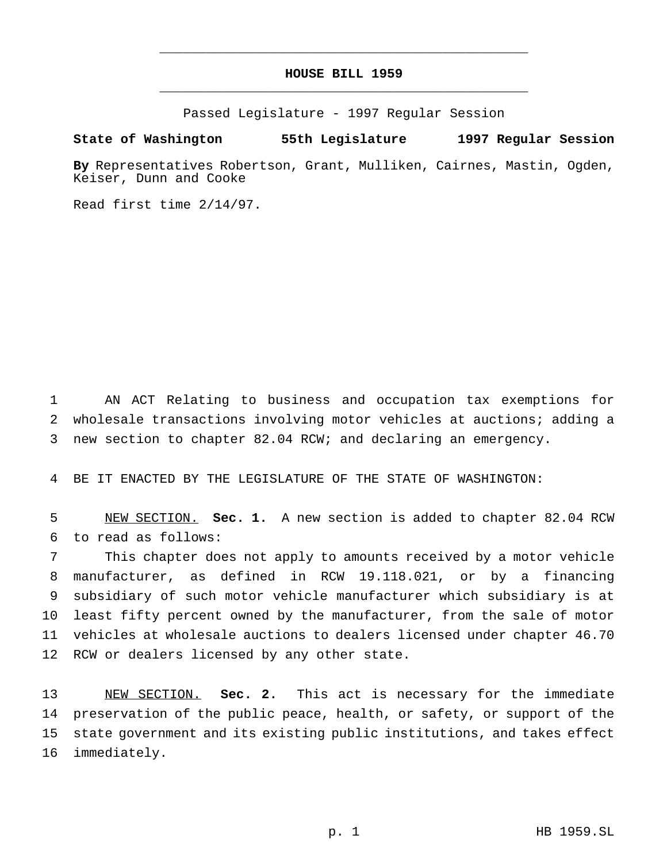# **HOUSE BILL 1959** \_\_\_\_\_\_\_\_\_\_\_\_\_\_\_\_\_\_\_\_\_\_\_\_\_\_\_\_\_\_\_\_\_\_\_\_\_\_\_\_\_\_\_\_\_\_\_

\_\_\_\_\_\_\_\_\_\_\_\_\_\_\_\_\_\_\_\_\_\_\_\_\_\_\_\_\_\_\_\_\_\_\_\_\_\_\_\_\_\_\_\_\_\_\_

Passed Legislature - 1997 Regular Session

#### **State of Washington 55th Legislature 1997 Regular Session**

**By** Representatives Robertson, Grant, Mulliken, Cairnes, Mastin, Ogden, Keiser, Dunn and Cooke

Read first time 2/14/97.

 AN ACT Relating to business and occupation tax exemptions for wholesale transactions involving motor vehicles at auctions; adding a new section to chapter 82.04 RCW; and declaring an emergency.

BE IT ENACTED BY THE LEGISLATURE OF THE STATE OF WASHINGTON:

 NEW SECTION. **Sec. 1.** A new section is added to chapter 82.04 RCW to read as follows:

 This chapter does not apply to amounts received by a motor vehicle manufacturer, as defined in RCW 19.118.021, or by a financing subsidiary of such motor vehicle manufacturer which subsidiary is at least fifty percent owned by the manufacturer, from the sale of motor vehicles at wholesale auctions to dealers licensed under chapter 46.70 RCW or dealers licensed by any other state.

 NEW SECTION. **Sec. 2.** This act is necessary for the immediate preservation of the public peace, health, or safety, or support of the state government and its existing public institutions, and takes effect immediately.